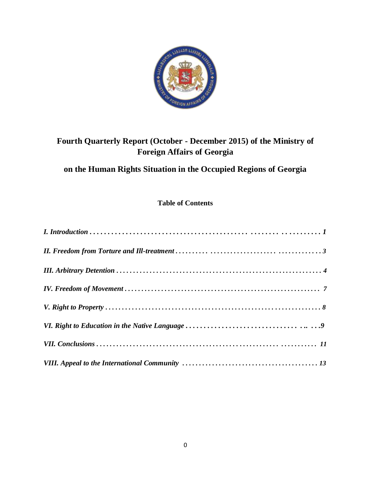

# **Fourth Quarterly Report (October - December 2015) of the Ministry of Foreign Affairs of Georgia**

## **on the Human Rights Situation in the Occupied Regions of Georgia**

## **Table of Contents**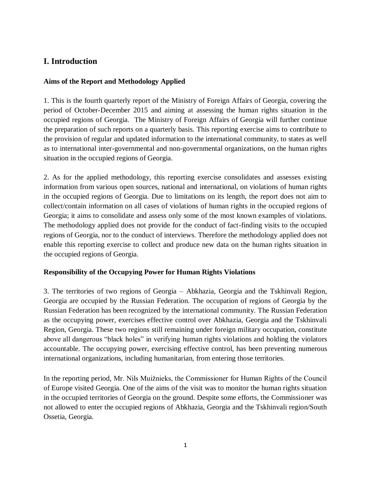## **I. Introduction**

### **Aims of the Report and Methodology Applied**

1. This is the fourth quarterly report of the Ministry of Foreign Affairs of Georgia, covering the period of October-December 2015 and aiming at assessing the human rights situation in the occupied regions of Georgia. The Ministry of Foreign Affairs of Georgia will further continue the preparation of such reports on a quarterly basis. This reporting exercise aims to contribute to the provision of regular and updated information to the international community, to states as well as to international inter-governmental and non-governmental organizations, on the human rights situation in the occupied regions of Georgia.

2. As for the applied methodology, this reporting exercise consolidates and assesses existing information from various open sources, national and international, on violations of human rights in the occupied regions of Georgia. Due to limitations on its length, the report does not aim to collect/contain information on all cases of violations of human rights in the occupied regions of Georgia; it aims to consolidate and assess only some of the most known examples of violations. The methodology applied does not provide for the conduct of fact-finding visits to the occupied regions of Georgia, nor to the conduct of interviews. Therefore the methodology applied does not enable this reporting exercise to collect and produce new data on the human rights situation in the occupied regions of Georgia.

### **Responsibility of the Occupying Power for Human Rights Violations**

3. The territories of two regions of Georgia – Abkhazia, Georgia and the Tskhinvali Region, Georgia are occupied by the Russian Federation. The occupation of regions of Georgia by the Russian Federation has been recognized by the international community. The Russian Federation as the occupying power, exercises effective control over Abkhazia, Georgia and the Tskhinvali Region, Georgia. These two regions still remaining under foreign military occupation, constitute above all dangerous "black holes" in verifying human rights violations and holding the violators accountable. The occupying power, exercising effective control, has been preventing numerous international organizations, including humanitarian, from entering those territories.

In the reporting period, Mr. Nils Muižnieks, the Commissioner for Human Rights of the Council of Europe visited Georgia. One of the aims of the visit was to monitor the human rights situation in the occupied territories of Georgia on the ground. Despite some efforts, the Commissioner was not allowed to enter the occupied regions of Abkhazia, Georgia and the Tskhinvali region/South Ossetia, Georgia.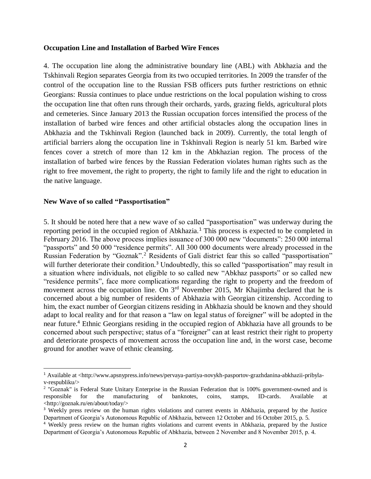#### **Occupation Line and Installation of Barbed Wire Fences**

4. The occupation line along the administrative boundary line (ABL) with Abkhazia and the Tskhinvali Region separates Georgia from its two occupied territories. In 2009 the transfer of the control of the occupation line to the Russian FSB officers puts further restrictions on ethnic Georgians: Russia continues to place undue restrictions on the local population wishing to cross the occupation line that often runs through their orchards, yards, grazing fields, agricultural plots and cemeteries. Since January 2013 the Russian occupation forces intensified the process of the installation of barbed wire fences and other artificial obstacles along the occupation lines in Abkhazia and the Tskhinvali Region (launched back in 2009). Currently, the total length of artificial barriers along the occupation line in Tskhinvali Region is nearly 51 km. Barbed wire fences cover a stretch of more than 12 km in the Abkhazian region. The process of the installation of barbed wire fences by the Russian Federation violates human rights such as the right to free movement, the right to property, the right to family life and the right to education in the native language.

#### **New Wave of so called "Passportisation"**

 $\overline{\phantom{a}}$ 

5. It should be noted here that a new wave of so called "passportisation" was underway during the reporting period in the occupied region of Abkhazia.<sup>1</sup> This process is expected to be completed in February 2016. The above process implies issuance of 300 000 new "documents": 250 000 internal "passports" and 50 000 "residence permits". All 300 000 documents were already processed in the Russian Federation by "Goznak".<sup>2</sup> Residents of Gali district fear this so called "passportisation" will further deteriorate their condition.<sup>3</sup> Undoubtedly, this so called "passportisation" may result in a situation where individuals, not eligible to so called new "Abkhaz passports" or so called new "residence permits", face more complications regarding the right to property and the freedom of movement across the occupation line. On 3<sup>rd</sup> November 2015, Mr Khajimba declared that he is concerned about a big number of residents of Abkhazia with Georgian citizenship. According to him, the exact number of Georgian citizens residing in Abkhazia should be known and they should adapt to local reality and for that reason a "law on legal status of foreigner" will be adopted in the near future.<sup>4</sup> Ethnic Georgians residing in the occupied region of Abkhazia have all grounds to be concerned about such perspective; status of a "foreigner" can at least restrict their right to property and deteriorate prospects of movement across the occupation line and, in the worst case, become ground for another wave of ethnic cleansing.

<sup>1</sup> Available at <http://www.apsnypress.info/news/pervaya-partiya-novykh-pasportov-grazhdanina-abkhazii-pribylav-respubliku/>

<sup>&</sup>lt;sup>2</sup> "Goznak" is Federal State Unitary Enterprise in the Russian Federation that is 100% government-owned and is responsible for the manufacturing of banknotes, coins, stamps, ID-cards. Available at <http://goznak.ru/en/about/today/>

<sup>&</sup>lt;sup>3</sup> Weekly press review on the human rights violations and current events in Abkhazia, prepared by the Justice Department of Georgia's Autonomous Republic of Abkhazia, between 12 October and 16 October 2015, p. 5.

<sup>4</sup> Weekly press review on the human rights violations and current events in Abkhazia, prepared by the Justice Department of Georgia's Autonomous Republic of Abkhazia, between 2 November and 8 November 2015, p. 4.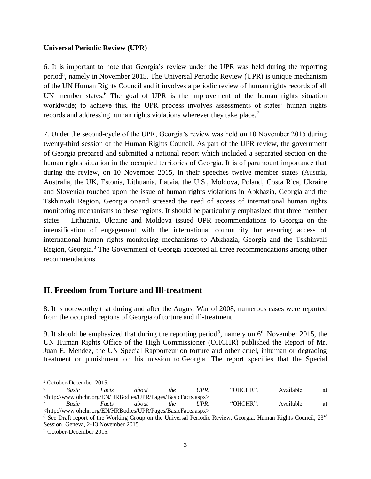#### **Universal Periodic Review (UPR)**

6. It is important to note that Georgia's review under the UPR was held during the reporting period<sup>5</sup>, namely in November 2015. The Universal Periodic Review (UPR) is unique mechanism of the UN Human Rights Council and it involves a periodic review of human rights records of all UN member states.<sup>6</sup> The goal of UPR is the improvement of the human rights situation worldwide; to achieve this, the UPR process involves assessments of states' human rights records and addressing human rights violations wherever they take place.<sup>7</sup>

7. Under the second-cycle of the UPR, Georgia's review was held on 10 November 2015 during twenty-third session of the Human Rights Council. As part of the UPR review, the government of Georgia prepared and submitted a national report which included a separated section on the human rights situation in the occupied territories of Georgia. It is of paramount importance that during the review, on 10 November 2015, in their speeches twelve member states (Austria, Australia, the UK, Estonia, Lithuania, Latvia, the U.S., Moldova, Poland, Costa Rica, Ukraine and Slovenia) touched upon the issue of human rights violations in Abkhazia, Georgia and the Tskhinvali Region, Georgia or/and stressed the need of access of international human rights monitoring mechanisms to these regions. It should be particularly emphasized that three member states – Lithuania, Ukraine and Moldova issued UPR recommendations to Georgia on the intensification of engagement with the international community for ensuring access of international human rights monitoring mechanisms to Abkhazia, Georgia and the Tskhinvali Region, Georgia.<sup>8</sup> The Government of Georgia accepted all three recommendations among other recommendations.

## **II. Freedom from Torture and Ill-treatment**

8. It is noteworthy that during and after the August War of 2008, numerous cases were reported from the occupied regions of Georgia of torture and ill-treatment.

9. It should be emphasized that during the reporting period<sup>9</sup>, namely on  $6<sup>th</sup>$  November 2015, the UN Human Rights Office of the High Commissioner (OHCHR) published the Report of Mr. Juan E. Mendez, the UN Special Rapporteur on torture and other cruel, inhuman or degrading treatment or punishment on his mission to Georgia. The report specifies that the Special

 $\overline{\phantom{a}}$ 

 $5 \text{ October-December 2015.}$ 

<sup>6</sup> *Basic Facts about the UPR.* "OHCHR". Available at <http://www.ohchr.org/EN/HRBodies/UPR/Pages/BasicFacts.aspx> <sup>7</sup> *Basic Facts about the UPR.* "OHCHR". Available at

<sup>&</sup>lt;http://www.ohchr.org/EN/HRBodies/UPR/Pages/BasicFacts.aspx> <sup>8</sup> See Draft report of the Working Group on the Universal Periodic Review, Georgia. Human Rights Council, 23<sup>rd</sup>

Session, Geneva, 2-13 November 2015.

<sup>9</sup> October-December 2015.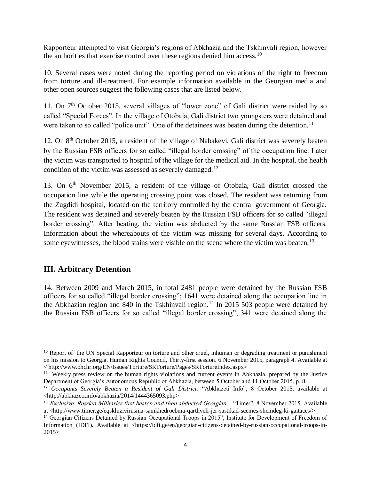Rapporteur attempted to visit Georgia's regions of Abkhazia and the Tskhinvali region, however the authorities that exercise control over these regions denied him access.<sup>10</sup>

10. Several cases were noted during the reporting period on violations of the right to freedom from torture and ill-treatment. For example information available in the Georgian media and other open sources suggest the following cases that are listed below.

11. On  $7<sup>th</sup>$  October 2015, several villages of "lower zone" of Gali district were raided by so called "Special Forces". In the village of Otobaia, Gali district two youngsters were detained and were taken to so called "police unit". One of the detainees was beaten during the detention.<sup>11</sup>

12. On 8th October 2015, a resident of the village of Nabakevi, Gali district was severely beaten by the Russian FSB officers for so called "illegal border crossing" of the occupation line. Later the victim was transported to hospital of the village for the medical aid. In the hospital, the health condition of the victim was assessed as severely damaged.<sup>12</sup>

13. On 6<sup>th</sup> November 2015, a resident of the village of Otobaia, Gali district crossed the occupation line while the operating crossing point was closed. The resident was returning from the Zugdidi hospital, located on the territory controlled by the central government of Georgia. The resident was detained and severely beaten by the Russian FSB officers for so called "illegal border crossing". After beating, the victim was abducted by the same Russian FSB officers. Information about the whereabouts of the victim was missing for several days. According to some eyewitnesses, the blood stains were visible on the scene where the victim was beaten.<sup>13</sup>

## **III. Arbitrary Detention**

 $\overline{a}$ 

14. Between 2009 and March 2015, in total 2481 people were detained by the Russian FSB officers for so called "illegal border crossing"; 1641 were detained along the occupation line in the Abkhazian region and 840 in the Tskhinvali region.<sup>14</sup> In 2015 503 people were detained by the Russian FSB officers for so called "illegal border crossing"; 341 were detained along the

<sup>&</sup>lt;sup>10</sup> Report of the UN Special Rapporteur on torture and other cruel, inhuman or degrading treatment or punishment on his mission to Georgia. Human Rights Council, Thirty-first session. 6 November 2015, paragraph 4. Available at < http://www.ohchr.org/EN/Issues/Torture/SRTorture/Pages/SRTortureIndex.aspx>

<sup>&</sup>lt;sup>11</sup> Weekly press review on the human rights violations and current events in Abkhazia, prepared by the Justice Department of Georgia's Autonomous Republic of Abkhazia, between 5 October and 11 October 2015, p. 8.

<sup>12</sup> *Occupants Severely Beaten a Resident of Gali District.* "Abkhazeti Info", 8 October 2015, available at <http://abkhazeti.info/abkhazia/2014/1444365093.php>

<sup>&</sup>lt;sup>13</sup> Exclusive: Russian Militaries first beaten and then abducted Georgian. "Timer", 8 November 2015. Available at <http://www.timer.ge/eqskluzivirusma-samkhedroebma-qarthveli-jer-sastikad-scemes-shemdeg-ki-gaitaces/>

<sup>&</sup>lt;sup>14</sup> Georgian Citizens Detained by Russian Occupational Troops in 2015", Institute for Development of Freedom of Information (IDFI). Available at <https://idfi.ge/en/georgian-citizens-detained-by-russian-occupational-troops-in-2015>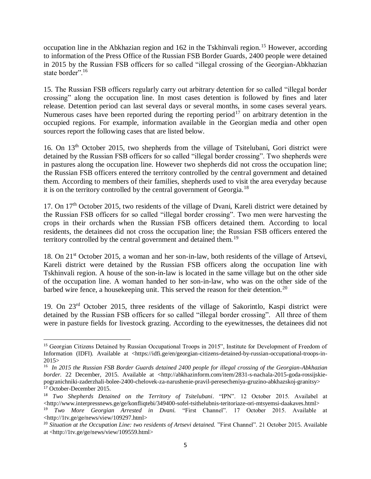occupation line in the Abkhazian region and 162 in the Tskhinvali region.<sup>15</sup> However, according to information of the Press Office of the Russian FSB Border Guards, 2400 people were detained in 2015 by the Russian FSB officers for so called "illegal crossing of the Georgian-Abkhazian state border".<sup>16</sup>

15. The Russian FSB officers regularly carry out arbitrary detention for so called "illegal border crossing" along the occupation line. In most cases detention is followed by fines and later release. Detention period can last several days or several months, in some cases several years. Numerous cases have been reported during the reporting period<sup>17</sup> on arbitrary detention in the occupied regions. For example, information available in the Georgian media and other open sources report the following cases that are listed below.

16. On 13<sup>th</sup> October 2015, two shepherds from the village of Tsitelubani, Gori district were detained by the Russian FSB officers for so called "illegal border crossing". Two shepherds were in pastures along the occupation line. However two shepherds did not cross the occupation line; the Russian FSB officers entered the territory controlled by the central government and detained them. According to members of their families, shepherds used to visit the area everyday because it is on the territory controlled by the central government of Georgia.<sup>18</sup>

17. On 17<sup>th</sup> October 2015, two residents of the village of Dvani, Kareli district were detained by the Russian FSB officers for so called "illegal border crossing". Two men were harvesting the crops in their orchards when the Russian FSB officers detained them. According to local residents, the detainees did not cross the occupation line; the Russian FSB officers entered the territory controlled by the central government and detained them.<sup>19</sup>

18. On 21<sup>st</sup> October 2015, a woman and her son-in-law, both residents of the village of Artsevi, Kareli district were detained by the Russian FSB officers along the occupation line with Tskhinvali region. A house of the son-in-law is located in the same village but on the other side of the occupation line. A woman handed to her son-in-law, who was on the other side of the barbed wire fence, a housekeeping unit. This served the reason for their detention.<sup>20</sup>

19. On 23rd October 2015, three residents of the village of Sakorintlo, Kaspi district were detained by the Russian FSB officers for so called "illegal border crossing". All three of them were in pasture fields for livestock grazing. According to the eyewitnesses, the detainees did not

 $\overline{a}$ 

<sup>&</sup>lt;sup>15</sup> Georgian Citizens Detained by Russian Occupational Troops in 2015", Institute for Development of Freedom of Information (IDFI). Available at <https://idfi.ge/en/georgian-citizens-detained-by-russian-occupational-troops-in-2015>

<sup>16</sup> *In 2015 the Russian FSB Border Guards detained 2400 people for illegal crossing of the Georgian-Abkhazian border.* 22 December, 2015. Available at <http://abkhazinform.com/item/2831-s-nachala-2015-goda-rossijskiepogranichniki-zaderzhali-bolee-2400-chelovek-za-narushenie-pravil-peresecheniya-gruzino-abkhazskoj-granitsy> <sup>17</sup> October-December 2015.

<sup>18</sup> *Two Shepherds Detained on the Territory of Tsitelubani*. "IPN". 12 October 2015. Availabel at <http://www.interpressnews.ge/ge/konfliqtebi/349400-sofel-tsithelubnis-teritoriaze-ori-mtsyemsi-daakaves.html>

<sup>19</sup> *Two More Georgian Arrested in Dvani.* "First Channel". 17 October 2015. Available at <http://1tv.ge/ge/news/view/109297.html>

<sup>&</sup>lt;sup>20</sup> Situation at the Occupation Line: two residents of Artsevi detained. "First Channel". 21 October 2015. Available at <http://1tv.ge/ge/news/view/109559.html>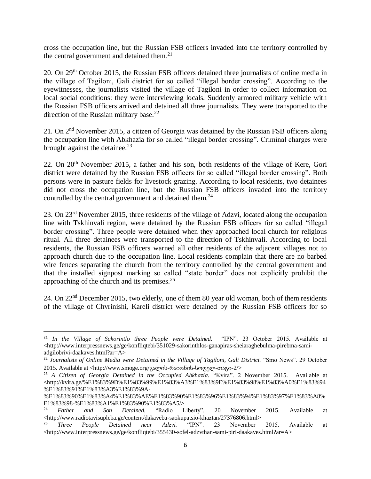cross the occupation line, but the Russian FSB officers invaded into the territory controlled by the central government and detained them.<sup>21</sup>

20. On 29th October 2015, the Russian FSB officers detained three journalists of online media in the village of Tagiloni, Gali district for so called "illegal border crossing". According to the eyewitnesses, the journalists visited the village of Tagiloni in order to collect information on local social conditions: they were interviewing locals. Suddenly armored military vehicle with the Russian FSB officers arrived and detained all three journalists. They were transported to the direction of the Russian military base.<sup>22</sup>

21. On 2nd November 2015, a citizen of Georgia was detained by the Russian FSB officers along the occupation line with Abkhazia for so called "illegal border crossing". Criminal charges were brought against the detainee. $^{23}$ 

22. On 20th November 2015, a father and his son, both residents of the village of Kere, Gori district were detained by the Russian FSB officers for so called "illegal border crossing". Both persons were in pasture fields for livestock grazing. According to local residents, two detainees did not cross the occupation line, but the Russian FSB officers invaded into the territory controlled by the central government and detained them.<sup>24</sup>

23. On 23rd November 2015, three residents of the village of Adzvi, located along the occupation line with Tskhinvali region, were detained by the Russian FSB officers for so called "illegal border crossing". Three people were detained when they approached local church for religious ritual. All three detainees were transported to the direction of Tskhinvali. According to local residents, the Russian FSB officers warned all other residents of the adjacent villages not to approach church due to the occupation line. Local residents complain that there are no barbed wire fences separating the church from the territory controlled by the central government and that the installed signpost marking so called "state border" does not explicitly prohibit the approaching of the church and its premises. $2<sup>5</sup>$ 

24. On 22nd December 2015, two elderly, one of them 80 year old woman, both of them residents of the village of Chvrinishi, Kareli district were detained by the Russian FSB officers for so

 $\overline{\phantom{a}}$ 

<sup>21</sup> *In the Village of Sakorintlo three People were Detained.* "IPN". 23 October 2015. Available at <http://www.interpressnews.ge/ge/konfliqtebi/351029-sakorinthlos-ganapiras-sheiaraghebulma-pirebma-samiadgilobrivi-daakaves.html?ar=A>

<sup>&</sup>lt;sup>22</sup> Journalists of Online Media were Detained in the Village of Tagiloni, Gali District. "Smo News". 29 October 2015. Available at [<http://www.smoge.org/](http://www.smoge.org/გალის-რაიონის-სოფელ-თაგი-2/)გალის-რაიონის-სოფელ-თაგი-2/>

<sup>&</sup>lt;sup>23</sup> A Citizen of Georgia Detained in the Occupied Abkhazia. "Kvira". 2 November 2015. Available at <http://kvira.ge/%E1%83%9D%E1%83%99%E1%83%A3%E1%83%9E%E1%83%98%E1%83%A0%E1%83%94 %E1%83%91%E1%83%A3%E1%83%9A-

<sup>%</sup>E1%83%90%E1%83%A4%E1%83%AE%E1%83%90%E1%83%96%E1%83%94%E1%83%97%E1%83%A8% E1%83%98-%E1%83%A1%E1%83%90%E1%83%A5/>

<sup>24</sup> *Father and Son Detained.* "Radio Liberty". 20 November 2015. Available at <http://www.radiotavisupleba.ge/content/dakaveba-saokupatsio-khaztan/27376806.html>

<sup>25</sup> *Three People Detained near Adzvi.* "IPN". 23 November 2015. Available at <http://www.interpressnews.ge/ge/konfliqtebi/355430-sofel-adzvthan-sami-piri-daakaves.html?ar=A>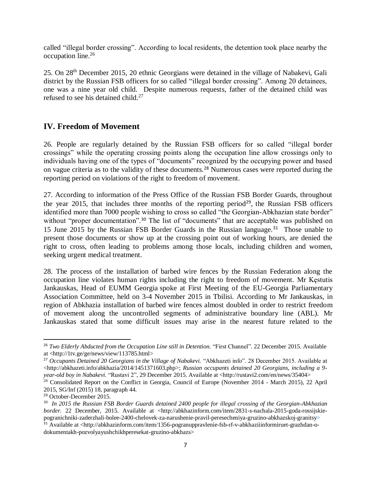called "illegal border crossing". According to local residents, the detention took place nearby the occupation line.<sup>26</sup>

25. On 28th December 2015, 20 ethnic Georgians were detained in the village of Nabakevi, Gali district by the Russian FSB officers for so called "illegal border crossing". Among 20 detainees, one was a nine year old child. Despite numerous requests, father of the detained child was refused to see his detained child. $27$ 

## **IV. Freedom of Movement**

26. People are regularly detained by the Russian FSB officers for so called "illegal border crossings" while the operating crossing points along the occupation line allow crossings only to individuals having one of the types of "documents" recognized by the occupying power and based on vague criteria as to the validity of these documents.<sup>28</sup> Numerous cases were reported during the reporting period on violations of the right to freedom of movement.

27. According to information of the Press Office of the Russian FSB Border Guards, throughout the year 2015, that includes three months of the reporting period<sup>29</sup>, the Russian FSB officers identified more than 7000 people wishing to cross so called "the Georgian-Abkhazian state border" without "proper documentation".<sup>30</sup> The list of "documents" that are acceptable was published on 15 June 2015 by the Russian FSB Border Guards in the Russian language.<sup>31</sup> Those unable to present those documents or show up at the crossing point out of working hours, are denied the right to cross, often leading to problems among those locals, including children and women, seeking urgent medical treatment.

28. The process of the installation of barbed wire fences by the Russian Federation along the occupation line violates human rights including the right to freedom of movement. Mr Kęstutis Jankauskas, Head of EUMM Georgia spoke at First Meeting of the EU-Georgia Parliamentary Association Committee, held on 3-4 November 2015 in Tbilisi. According to Mr Jankauskas, in region of Abkhazia installation of barbed wire fences almost doubled in order to restrict freedom of movement along the uncontrolled segments of administrative boundary line (ABL). Mr Jankauskas stated that some difficult issues may arise in the nearest future related to the

 $\overline{a}$ 

<sup>26</sup> *Two Elderly Abducted from the Occupation Line still in Detention.* "First Channel"*.* 22 December 2015. Available at <http://1tv.ge/ge/news/view/113785.html>

<sup>&</sup>lt;sup>27</sup> Occupants Detained 20 Georgians in the Village of Nabakevi. "Abkhazeti info". 28 December 2015. Available at  $\langle$ http://abkhazeti.info/abkhazia/2014/1451371603.php>; *Russian occupants detained 20 Georgians, including a 9year-old boy in Nabakevi.* "Rustavi 2", 29 December 2015. Available at <http://rustavi2.com/en/news/35404>

<sup>&</sup>lt;sup>28</sup> Consolidated Report on the Conflict in Georgia, Council of Europe (November 2014 - March 2015), 22 April 2015, SG/Inf (2015) 18, paragraph 44.

<sup>29</sup> October-December 2015.

<sup>30</sup> *In 2015 the Russian FSB Border Guards detained 2400 people for illegal crossing of the Georgian-Abkhazian border.* 22 December, 2015. Available at <http://abkhazinform.com/item/2831-s-nachala-2015-goda-rossijskiepogranichniki-zaderzhali-bolee-2400-chelovek-za-narushenie-pravil-peresecheniya-gruzino-abkhazskoj-granitsy>

<sup>&</sup>lt;sup>31</sup> Available at <http://abkhazinform.com/item/1356-pogranuppravlenie-fsb-rf-v-abkhaziiinformiruet-grazhdan-odokumentakh-pozvolyayushchikhperesekat-gruzino-abkhazs>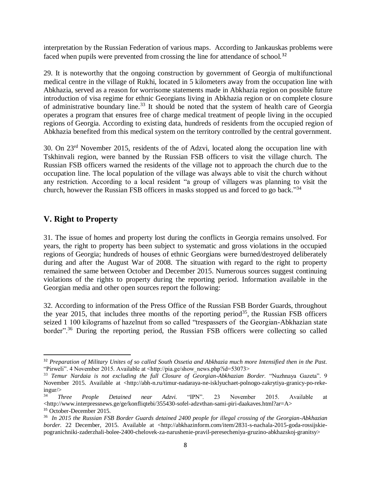interpretation by the Russian Federation of various maps. According to Jankauskas problems were faced when pupils were prevented from crossing the line for attendance of school.<sup>32</sup>

29. It is noteworthy that the ongoing construction by government of Georgia of multifunctional medical centre in the village of Rukhi, located in 5 kilometers away from the occupation line with Abkhazia, served as a reason for worrisome statements made in Abkhazia region on possible future introduction of visa regime for ethnic Georgians living in Abkhazia region or on complete closure of administrative boundary line.<sup>33</sup> It should be noted that the system of health care of Georgia operates a program that ensures free of charge medical treatment of people living in the occupied regions of Georgia. According to existing data, hundreds of residents from the occupied region of Abkhazia benefited from this medical system on the territory controlled by the central government.

30. On 23rd November 2015, residents of the of Adzvi, located along the occupation line with Tskhinvali region, were banned by the Russian FSB officers to visit the village church. The Russian FSB officers warned the residents of the village not to approach the church due to the occupation line. The local population of the village was always able to visit the church without any restriction. According to a local resident "a group of villagers was planning to visit the church, however the Russian FSB officers in masks stopped us and forced to go back."<sup>34</sup>

## **V. Right to Property**

 $\overline{a}$ 

31. The issue of homes and property lost during the conflicts in Georgia remains unsolved. For years, the right to property has been subject to systematic and gross violations in the occupied regions of Georgia; hundreds of houses of ethnic Georgians were burned/destroyed deliberately during and after the August War of 2008. The situation with regard to the right to property remained the same between October and December 2015. Numerous sources suggest continuing violations of the rights to property during the reporting period. Information available in the Georgian media and other open sources report the following:

32. According to information of the Press Office of the Russian FSB Border Guards, throughout the year 2015, that includes three months of the reporting period<sup>35</sup>, the Russian FSB officers seized 1 100 kilograms of hazelnut from so called "trespassers of the Georgian-Abkhazian state border".<sup>36</sup> During the reporting period, the Russian FSB officers were collecting so called

<sup>32</sup> *Preparation of Military Unites of so called South Ossetia and Abkhazia much more Intensified then in the Past.*  "Pirweli". 4 November 2015. Available at <http://pia.ge/show\_news.php?id=53073>

<sup>33</sup> *Temur Nardaia is not excluding the full Closure of Georgian-Abkhazian Border*. "Nuzhnaya Gazeta". 9 November 2015. Available at <http://abh-n.ru/timur-nadaraya-ne-isklyuchaet-polnogo-zakrytiya-granicy-po-rekeingur/>

<sup>34</sup> *Three People Detained near Adzvi.* "IPN". 23 November 2015. Available at  $\langle$ http://www.interpressnews.ge/ge/konfliqtebi/355430-sofel-adzvthan-sami-piri-daakaves.html?ar=A $>$ <sup>35</sup> October-December 2015.

<sup>36</sup> *In 2015 the Russian FSB Border Guards detained 2400 people for illegal crossing of the Georgian-Abkhazian border.* 22 December, 2015. Available at <http://abkhazinform.com/item/2831-s-nachala-2015-goda-rossijskiepogranichniki-zaderzhali-bolee-2400-chelovek-za-narushenie-pravil-peresecheniya-gruzino-abkhazskoj-granitsy>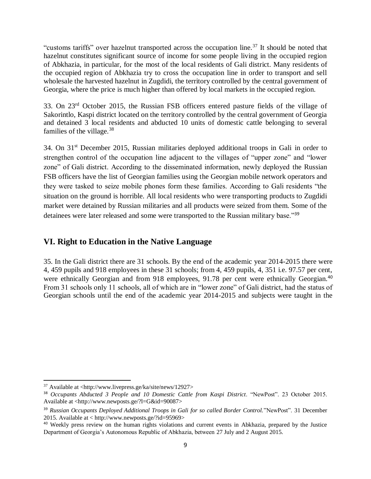"customs tariffs" over hazelnut transported across the occupation line.<sup>37</sup> It should be noted that hazelnut constitutes significant source of income for some people living in the occupied region of Abkhazia, in particular, for the most of the local residents of Gali district. Many residents of the occupied region of Abkhazia try to cross the occupation line in order to transport and sell wholesale the harvested hazelnut in Zugdidi, the territory controlled by the central government of Georgia, where the price is much higher than offered by local markets in the occupied region.

33. On 23rd October 2015, the Russian FSB officers entered pasture fields of the village of Sakorintlo, Kaspi district located on the territory controlled by the central government of Georgia and detained 3 local residents and abducted 10 units of domestic cattle belonging to several families of the village. $38$ 

34. On 31<sup>st</sup> December 2015, Russian militaries deployed additional troops in Gali in order to strengthen control of the occupation line adjacent to the villages of "upper zone" and "lower zone" of Gali district. According to the disseminated information, newly deployed the Russian FSB officers have the list of Georgian families using the Georgian mobile network operators and they were tasked to seize mobile phones form these families. According to Gali residents "the situation on the ground is horrible. All local residents who were transporting products to Zugdidi market were detained by Russian militaries and all products were seized from them. Some of the detainees were later released and some were transported to the Russian military base."<sup>39</sup>

## **VI. Right to Education in the Native Language**

35. In the Gali district there are 31 schools. By the end of the academic year 2014-2015 there were 4, 459 pupils and 918 employees in these 31 schools; from 4, 459 pupils, 4, 351 i.e. 97.57 per cent, were ethnically Georgian and from 918 employees, 91.78 per cent were ethnically Georgian.<sup>40</sup> From 31 schools only 11 schools, all of which are in "lower zone" of Gali district, had the status of Georgian schools until the end of the academic year 2014-2015 and subjects were taught in the

 $\overline{a}$ <sup>37</sup> Available at <http://www.livepress.ge/ka/site/news/12927>

<sup>38</sup> *Occupants Abducted 3 People and 10 Domestic Cattle from Kaspi District*. "NewPost". 23 October 2015. Available at <http://www.newposts.ge/?l=G&id=90087>

<sup>39</sup> *Russian Occupants Deployed Additional Troops in Gali for so called Border Control.*"NewPost". 31 December 2015. Available at < http://www.newposts.ge/?id=95969>

<sup>&</sup>lt;sup>40</sup> Weekly press review on the human rights violations and current events in Abkhazia, prepared by the Justice Department of Georgia's Autonomous Republic of Abkhazia, between 27 July and 2 August 2015.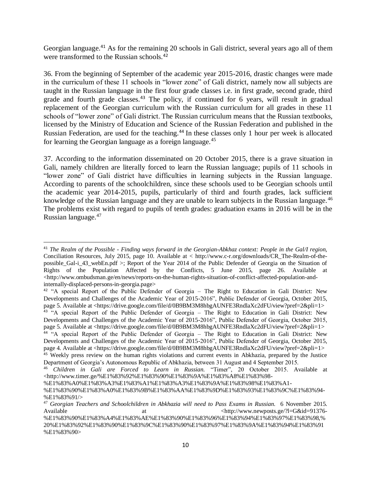Georgian language.<sup>41</sup> As for the remaining 20 schools in Gali district, several years ago all of them were transformed to the Russian schools.<sup>42</sup>

36. From the beginning of September of the academic year 2015-2016, drastic changes were made in the curriculum of these 11 schools in "lower zone" of Gali district, namely now all subjects are taught in the Russian language in the first four grade classes i.e. in first grade, second grade, third grade and fourth grade classes.<sup>43</sup> The policy, if continued for 6 years, will result in gradual replacement of the Georgian curriculum with the Russian curriculum for all grades in these 11 schools of "lower zone" of Gali district. The Russian curriculum means that the Russian textbooks, licensed by the Ministry of Education and Science of the Russian Federation and published in the Russian Federation, are used for the teaching.<sup>44</sup> In these classes only 1 hour per week is allocated for learning the Georgian language as a foreign language.<sup>45</sup>

37. According to the information disseminated on 20 October 2015, there is a grave situation in Gali, namely children are literally forced to learn the Russian language; pupils of 11 schools in "lower zone" of Gali district have difficulties in learning subjects in the Russian language. According to parents of the schoolchildren, since these schools used to be Georgian schools until the academic year 2014-2015, pupils, particularly of third and fourth grades, lack sufficient knowledge of the Russian language and they are unable to learn subjects in the Russian language. <sup>46</sup> The problems exist with regard to pupils of tenth grades: graduation exams in 2016 will be in the Russian language.<sup>47</sup>

 $\overline{a}$ <sup>41</sup> *The Realm of the Possible - Finding ways forward in the Georgian-Abkhaz context: People in the Gal/I region,* Conciliation Resources, July 2015, page 10. Available at < http://www.c-r.org/downloads/CR\_The-Realm-of-thepossible Gal-i 43 webEn.pdf >; Report of the Year 2014 of the Public Defender of Georgia on the Situation of Rights of the Population Affected by the Conflicts, 5 June 2015, page 26. Available at  $\langle$ http://www.ombudsman.ge/en/news/reports-on-the-human-rights-situation-of-conflict-affected-population-andinternally-displaced-persons-in-georgia.page>

<sup>42</sup> "A special Report of the Public Defender of Georgia – The Right to Education in Gali District: New Developments and Challenges of the Academic Year of 2015-2016", Public Defender of Georgia, October 2015, page 5. Available at <https://drive.google.com/file/d/0B9BM3M8hbgAUNFE3RndlaXc2dFU/view?pref=2&pli=1>

<sup>&</sup>lt;sup>43</sup> "A special Report of the Public Defender of Georgia – The Right to Education in Gali District: New Developments and Challenges of the Academic Year of 2015-2016", Public Defender of Georgia, October 2015, page 5. Available at <https://drive.google.com/file/d/0B9BM3M8hbgAUNFE3RndlaXc2dFU/view?pref=2&pli=1>

<sup>44</sup> "A special Report of the Public Defender of Georgia – The Right to Education in Gali District: New Developments and Challenges of the Academic Year of 2015-2016", Public Defender of Georgia, October 2015, page 4. Available at <https://drive.google.com/file/d/0B9BM3M8hbgAUNFE3RndlaXc2dFU/view?pref=2&pli=1>

<sup>&</sup>lt;sup>45</sup> Weekly press review on the human rights violations and current events in Abkhazia, prepared by the Justice Department of Georgia's Autonomous Republic of Abkhazia, between 31 August and 4 September 2015.

<sup>46</sup> *Children in Gali are Forced to Learn in Russian.* "Timer", 20 October 2015. Available at [<http://www.timer.ge/%E1%83%92%E1%83%90%E1%83%9A%E1%83%A8%E1%83%98-](http://www.timer.ge/%E1%83%92%E1%83%90%E1%83%9A%E1%83%A8%E1%83%98-%E1%83%A0%E1%83%A3%E1%83%A1%E1%83%A3%E1%83%9A%E1%83%98%E1%83%A1-%E1%83%90%E1%83%A0%E1%83%9B%E1%83%AA%E1%83%9D%E1%83%93%E1%83%9C%E1%83%94-%E1%83%91/)

[<sup>%</sup>E1%83%A0%E1%83%A3%E1%83%A1%E1%83%A3%E1%83%9A%E1%83%98%E1%83%A1-](http://www.timer.ge/%E1%83%92%E1%83%90%E1%83%9A%E1%83%A8%E1%83%98-%E1%83%A0%E1%83%A3%E1%83%A1%E1%83%A3%E1%83%9A%E1%83%98%E1%83%A1-%E1%83%90%E1%83%A0%E1%83%9B%E1%83%AA%E1%83%9D%E1%83%93%E1%83%9C%E1%83%94-%E1%83%91/)

[<sup>%</sup>E1%83%90%E1%83%A0%E1%83%9B%E1%83%AA%E1%83%9D%E1%83%93%E1%83%9C%E1%83%94-](http://www.timer.ge/%E1%83%92%E1%83%90%E1%83%9A%E1%83%A8%E1%83%98-%E1%83%A0%E1%83%A3%E1%83%A1%E1%83%A3%E1%83%9A%E1%83%98%E1%83%A1-%E1%83%90%E1%83%A0%E1%83%9B%E1%83%AA%E1%83%9D%E1%83%93%E1%83%9C%E1%83%94-%E1%83%91/) [%E1%83%91/>](http://www.timer.ge/%E1%83%92%E1%83%90%E1%83%9A%E1%83%A8%E1%83%98-%E1%83%A0%E1%83%A3%E1%83%A1%E1%83%A3%E1%83%9A%E1%83%98%E1%83%A1-%E1%83%90%E1%83%A0%E1%83%9B%E1%83%AA%E1%83%9D%E1%83%93%E1%83%9C%E1%83%94-%E1%83%91/)

<sup>47</sup> *Georgian Teachers and Schoolchildren in Abkhazia will need to Pass Exams in Russian.* 6 November 2015. Available at at the at  $\langle \text{http://www.newposts.get/?l=G&id=91376-10.0}, \text{http://www.newposts.get/?l=G&id=91376-10.0}, \text{http://www.newposts.get/?l=G&id=91376-10.0}, \text{http://www.newposts.get/?l=G&id=91376-10.0}, \text{http://www.newposts.get/?l=G&id=91376-10.0}, \text{http://www.newposts.get/?l=G&id=91376-10.0}, \text{http://www.newposts.get/?l=G&$ 

<sup>%</sup>E1%83%90%E1%83%A4%E1%83%AE%E1%83%90%E1%83%96%E1%83%94%E1%83%97%E1%83%98,% 20%E1%83%92%E1%83%90%E1%83%9C%E1%83%90%E1%83%97%E1%83%9A%E1%83%94%E1%83%91 %E1%83%90>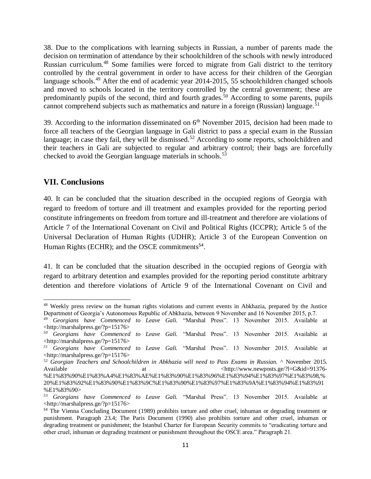38. Due to the complications with learning subjects in Russian, a number of parents made the decision on termination of attendance by their schoolchildren of the schools with newly introduced Russian curriculum.<sup>48</sup> Some families were forced to migrate from Gali district to the territory controlled by the central government in order to have access for their children of the Georgian language schools.<sup>49</sup> After the end of academic year 2014-2015, 55 schoolchildren changed schools and moved to schools located in the territory controlled by the central government; these are predominantly pupils of the second, third and fourth grades.<sup>50</sup> According to some parents, pupils cannot comprehend subjects such as mathematics and nature in a foreign (Russian) language.<sup>51</sup>

39. According to the information disseminated on  $6<sup>th</sup>$  November 2015, decision had been made to force all teachers of the Georgian language in Gali district to pass a special exam in the Russian language; in case they fail, they will be dismissed.<sup>52</sup> According to some reports, schoolchildren and their teachers in Gali are subjected to regular and arbitrary control; their bags are forcefully checked to avoid the Georgian language materials in schools.<sup>53</sup>

## **VII. Conclusions**

 $\overline{a}$ 

40. It can be concluded that the situation described in the occupied regions of Georgia with regard to freedom of torture and ill treatment and examples provided for the reporting period constitute infringements on freedom from torture and ill-treatment and therefore are violations of Article 7 of the International Covenant on Civil and Political Rights (ICCPR); Article 5 of the Universal Declaration of Human Rights (UDHR); Article 3 of the European Convention on Human Rights (ECHR); and the OSCE commitments<sup>54</sup>.

41. It can be concluded that the situation described in the occupied regions of Georgia with regard to arbitrary detention and examples provided for the reporting period constitute arbitrary detention and therefore violations of Article 9 of the International Covenant on Civil and

<sup>&</sup>lt;sup>48</sup> Weekly press review on the human rights violations and current events in Abkhazia, prepared by the Justice Department of Georgia's Autonomous Republic of Abkhazia, between 9 November and 16 November 2015, p.7.

*<sup>49</sup> Georgians have Commenced to Leave Gali.* "Marshal Press". 13 November 2015. Available at [<http://marshalpress.ge/?p=15176>](http://marshalpress.ge/?p=15176)

*<sup>50</sup> Georgians have Commenced to Leave Gali.* "Marshal Press". 13 November 2015. Available at [<http://marshalpress.ge/?p=15176>](http://marshalpress.ge/?p=15176)

*<sup>51</sup> Georgians have Commenced to Leave Gali.* "Marshal Press". 13 November 2015. Available at [<http://marshalpress.ge/?p=15176>](http://marshalpress.ge/?p=15176)

<sup>52</sup> *Georgian Teachers and Schoolchildren in Abkhazia will need to Pass Exams in Russian.* ^ November 2015. Available at at the at  $\langle \text{http://www.newposts.get/}l=G&id=91376-1)$ 

<sup>%</sup>E1%83%90%E1%83%A4%E1%83%AE%E1%83%90%E1%83%96%E1%83%94%E1%83%97%E1%83%98,% 20%E1%83%92%E1%83%90%E1%83%9C%E1%83%90%E1%83%97%E1%83%9A%E1%83%94%E1%83%91 %E1%83%90>

*<sup>53</sup> Georgians have Commenced to Leave Gali.* "Marshal Press". 13 November 2015. Available at [<http://marshalpress.ge/?p=15176>](http://marshalpress.ge/?p=15176)

<sup>&</sup>lt;sup>54</sup> The Vienna Concluding Document (1989) prohibits torture and other cruel, inhuman or degrading treatment or punishment. Paragraph 23.4; The Paris Document (1990) also prohibits torture and other cruel, inhuman or degrading treatment or punishment; the Istanbul Charter for European Security commits to "eradicating torture and other cruel, inhuman or degrading treatment or punishment throughout the OSCE area." Paragraph 21.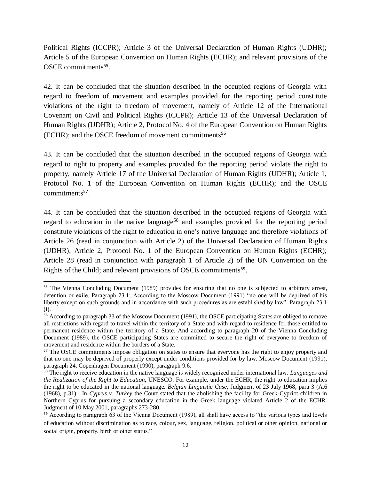Political Rights (ICCPR); Article 3 of the Universal Declaration of Human Rights (UDHR); Article 5 of the European Convention on Human Rights (ECHR); and relevant provisions of the OSCE commitments<sup>55</sup>.

42. It can be concluded that the situation described in the occupied regions of Georgia with regard to freedom of movement and examples provided for the reporting period constitute violations of the right to freedom of movement, namely of Article 12 of the International Covenant on Civil and Political Rights (ICCPR); Article 13 of the Universal Declaration of Human Rights (UDHR); Article 2, Protocol No. 4 of the European Convention on Human Rights (ECHR); and the OSCE freedom of movement commitments<sup>56</sup> .

43. It can be concluded that the situation described in the occupied regions of Georgia with regard to right to property and examples provided for the reporting period violate the right to property, namely Article 17 of the Universal Declaration of Human Rights (UDHR); Article 1, Protocol No. 1 of the European Convention on Human Rights (ECHR); and the OSCE commitments<sup>57</sup>.

44. It can be concluded that the situation described in the occupied regions of Georgia with regard to education in the native language<sup>58</sup> and examples provided for the reporting period constitute violations of the right to education in one's native language and therefore violations of Article 26 (read in conjunction with Article 2) of the Universal Declaration of Human Rights (UDHR); Article 2, Protocol No. 1 of the European Convention on Human Rights (ECHR); Article 28 (read in conjunction with paragraph 1 of Article 2) of the UN Convention on the Rights of the Child; and relevant provisions of OSCE commitments<sup>59</sup>.

 $\overline{a}$ 

<sup>&</sup>lt;sup>55</sup> The Vienna Concluding Document (1989) provides for ensuring that no one is subjected to arbitrary arrest, detention or exile. Paragraph 23.1; According to the Moscow Document (1991) "no one will be deprived of his liberty except on such grounds and in accordance with such procedures as are established by law". Paragraph 23.1 (i).

<sup>&</sup>lt;sup>56</sup> According to paragraph 33 of the Moscow Document (1991), the OSCE participating States are obliged to remove all restrictions with regard to travel within the territory of a State and with regard to residence for those entitled to permanent residence within the territory of a State. And according to paragraph 20 of the Vienna Concluding Document (1989), the OSCE participating States are committed to secure the right of everyone to freedom of movement and residence within the borders of a State.

<sup>&</sup>lt;sup>57</sup> The OSCE commitments impose obligation on states to ensure that everyone has the right to enjoy property and that no one may be deprived of properly except under conditions provided for by law. Moscow Document (1991), paragraph 24; Copenhagen Document (1990), paragraph 9.6.

<sup>58</sup> The right to receive education in the native language is widely recognized under international law. *Languages and the Realization of the Right to Education*, UNESCO. For example, under the ECHR, the right to education implies the right to be educated in the national language. *Belgian Linguistic Case*, Judgment of 23 July 1968, para 3 (A.6 (1968), p.31). In *Cyprus v. Turkey* the Court stated that the abolishing the facility for Greek-Cypriot children in Northern Cyprus for pursuing a secondary education in the Greek language violated Article 2 of the ECHR. Judgment of 10 May 2001, paragraphs 273-280.

<sup>&</sup>lt;sup>59</sup> According to paragraph 63 of the Vienna Document (1989), all shall have access to "the various types and levels of education without discrimination as to race, colour, sex, language, religion, political or other opinion, national or social origin, property, birth or other status."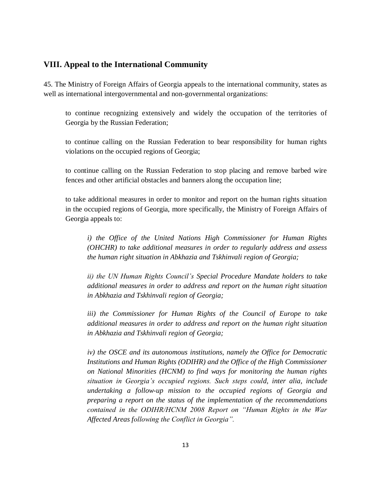## **VIII. Appeal to the International Community**

45. The Ministry of Foreign Affairs of Georgia appeals to the international community, states as well as international intergovernmental and non-governmental organizations:

to continue recognizing extensively and widely the occupation of the territories of Georgia by the Russian Federation;

to continue calling on the Russian Federation to bear responsibility for human rights violations on the occupied regions of Georgia;

to continue calling on the Russian Federation to stop placing and remove barbed wire fences and other artificial obstacles and banners along the occupation line;

to take additional measures in order to monitor and report on the human rights situation in the occupied regions of Georgia, more specifically, the Ministry of Foreign Affairs of Georgia appeals to:

*i) the Office of the United Nations High Commissioner for Human Rights (OHCHR) to take additional measures in order to regularly address and assess the human right situation in Abkhazia and Tskhinvali region of Georgia;* 

*ii) the UN Human Rights Council's Special Procedure Mandate holders to take additional measures in order to address and report on the human right situation in Abkhazia and Tskhinvali region of Georgia;*

*iii) the Commissioner for Human Rights of the Council of Europe to take additional measures in order to address and report on the human right situation in Abkhazia and Tskhinvali region of Georgia;*

*iv) the OSCE and its autonomous institutions, namely the Office for Democratic Institutions and Human Rights (ODIHR) and the Office of the High Commissioner on National Minorities (HCNM) to find ways for monitoring the human rights situation in Georgia's occupied regions. Such steps could, inter alia, include undertaking a follow-up mission to the occupied regions of Georgia and preparing a report on the status of the implementation of the recommendations contained in the ODIHR/HCNM 2008 Report on "Human Rights in the War Affected Areas following the Conflict in Georgia".*